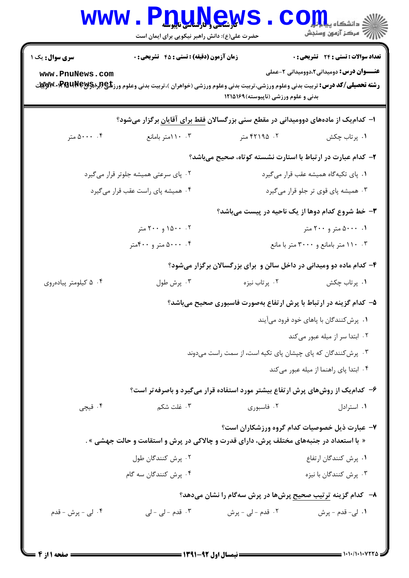|                                                                                           | <b>V المسلم و دارساسی ناپیوسله</b><br>حضرت علی(ع): دانش راهبر نیکویی برای ایمان است |                                                                                                                                                                                  | د دانشکاه پ <b>یا ب<sup>ر</sup> تو</b> ر<br>بہ مرڪز آزمون وسنڊش |  |  |  |
|-------------------------------------------------------------------------------------------|-------------------------------------------------------------------------------------|----------------------------------------------------------------------------------------------------------------------------------------------------------------------------------|-----------------------------------------------------------------|--|--|--|
| <b>سری سوال :</b> یک ۱                                                                    | <b>زمان آزمون (دقیقه) : تستی : 45 گشریحی : 0</b>                                    |                                                                                                                                                                                  | تعداد سوالات : تستى : 24 - تشريحي : 0                           |  |  |  |
| www.PnuNews.com                                                                           |                                                                                     | <b>رشته تحصیلی/کد درس:</b> تربیت بدنی وعلوم ورزشی،تربیت بدنی وعلوم ورزشی (خواهران )،تربیت بدنی وعلوم ورز <b>شگی(لبراه۱۶۳۵×۱۳۵۰۰×۷۶۷پ</b><br>بدنی و علوم ورزشی (ناپیوسته) ۱۲۱۵۱۶۹ | <b>عنـــوان درس:</b> دومیدانی2،دوومیدانی 2-عملی                 |  |  |  |
| ا– کدامیک از مادههای دوومیدانی در مقطع سنی بزرگسالان <u>فقط برای</u> آقایان برگزار میشود؟ |                                                                                     |                                                                                                                                                                                  |                                                                 |  |  |  |
| ۰۰، ۵۰۰۰ متر                                                                              | ۰۳ ۱۱۰امتر بامانع                                                                   | ۰۲ ۲۱۹۵ متر                                                                                                                                                                      | ۰۱ پرتاب چکش                                                    |  |  |  |
| ۲- کدام عبارت در ارتباط با استارت نشسته کوتاه، صحیح میباشد؟                               |                                                                                     |                                                                                                                                                                                  |                                                                 |  |  |  |
| ۰۲ پای سرعتی همیشه جلوتر قرار میگیرد                                                      |                                                                                     | ٠١ پای تکیهگاه همیشه عقب قرار میگیرد                                                                                                                                             |                                                                 |  |  |  |
| ۰۴ همیشه پای راست عقب قرار میگیرد                                                         |                                                                                     | ۰۳ همیشه پای قوی تر جلو قرار میگیرد                                                                                                                                              |                                                                 |  |  |  |
| <b>۳</b> - خط شروع کدام دوها از یک ناحیه در پیست میباشد؟                                  |                                                                                     |                                                                                                                                                                                  |                                                                 |  |  |  |
|                                                                                           | ۰۲ متر ۲۰۰ متر                                                                      |                                                                                                                                                                                  | ۰۰ ۵۰۰۰ متر و ۲۰۰ متر                                           |  |  |  |
| ۰۴ . ۵۰۰۰ متر و ۴۰۰متر                                                                    |                                                                                     |                                                                                                                                                                                  | ۰۳ ۱۱۰ متر بامانع و ۳۰۰۰ متر با مانع                            |  |  |  |
| ۴- کدام ماده دو ومیدانی در داخل سالن و برای بزرگسالان برگزار میشود؟                       |                                                                                     |                                                                                                                                                                                  |                                                                 |  |  |  |
| ۰۴ ۲ کیلومتر پیادهروی                                                                     | ۰۳ پرش طول                                                                          | ۰۲ پرتاب نیزه                                                                                                                                                                    | ۰۱ پرتاب چکش                                                    |  |  |  |
| ۵– کدام گزینه در ارتباط با پرش ارتفاع بهصورت فاسبوری صحیح میباشد؟                         |                                                                                     |                                                                                                                                                                                  |                                                                 |  |  |  |
| ۰۱ پرش کنندگان با پاهای خود فرود میآیند                                                   |                                                                                     |                                                                                                                                                                                  |                                                                 |  |  |  |
|                                                                                           |                                                                                     |                                                                                                                                                                                  | ۰۲ ابتدا سر از میله عبور میکند                                  |  |  |  |
| ۰۳ پرش کنندگان که پای چپشان پای تکیه است، از سمت راست میدوند                              |                                                                                     |                                                                                                                                                                                  |                                                                 |  |  |  |
|                                                                                           |                                                                                     |                                                                                                                                                                                  | ۰۴ ابتدا پای راهنما از میله عبور میکند                          |  |  |  |
|                                                                                           |                                                                                     | ۶– کدام یک از روشهای پرش ارتفاع بیشتر مورد استفاده قرار میگیرد و باصرفه تر است؟                                                                                                  |                                                                 |  |  |  |
| ۰۴ قیچی                                                                                   | ۰۳ غلت شکم                                                                          | ۰۲ فاسبوری                                                                                                                                                                       | ۰۱ استرادل                                                      |  |  |  |
|                                                                                           | ۷- عبارت ذیل خصوصیات کدام گروه ورزشکاران است؟                                       |                                                                                                                                                                                  |                                                                 |  |  |  |
| « با استعداد در جنبههای مختلف پرش، دارای قدرت و چالاکی در پرش و استقامت و حالت جهشی » .   |                                                                                     |                                                                                                                                                                                  |                                                                 |  |  |  |
| ۰۲ پرش کنندگان طول                                                                        |                                                                                     | ۰۱ پرش کنندگان ارتفاع                                                                                                                                                            |                                                                 |  |  |  |
|                                                                                           | ۰۴ پرش کنندگان سه گام                                                               |                                                                                                                                                                                  | ۰۳ پرش کنندگان با نیزه                                          |  |  |  |
| ۸–۔ کدام گزینه <u>ترتیب صحیح پر</u> شها در پرش سهگام را نشان میدهد؟                       |                                                                                     |                                                                                                                                                                                  |                                                                 |  |  |  |
| ۰۴ لی - پرش - قدم                                                                         | ۰۳ قدم - لی - لی                                                                    | ۲. قدم - لي - پرش                                                                                                                                                                | 1. لي- قدم - پرش                                                |  |  |  |
|                                                                                           |                                                                                     |                                                                                                                                                                                  |                                                                 |  |  |  |

 $= 1.1.11.1.17$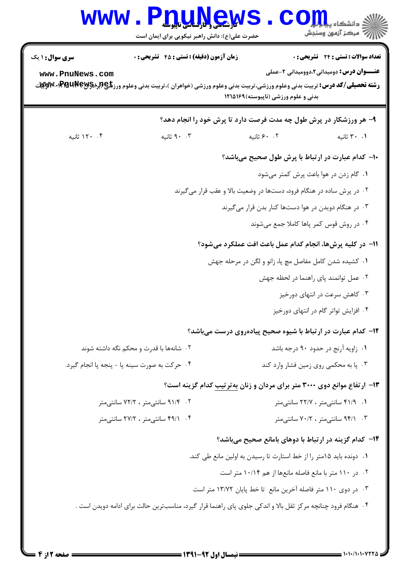|                                               | <b>WWW.PDUNGWS</b><br>حضرت علی(ع): دانش راهبر نیکویی برای ایمان است | رآ مرکز آزمون وسنجش                                                                                                                                                                                                                                                                     |  |  |
|-----------------------------------------------|---------------------------------------------------------------------|-----------------------------------------------------------------------------------------------------------------------------------------------------------------------------------------------------------------------------------------------------------------------------------------|--|--|
| <b>سری سوال :</b> ۱ یک<br>www.PnuNews.com     | <b>زمان آزمون (دقیقه) : تستی : 45 قشریحی : 0</b>                    | <b>تعداد سوالات : تستی : 24 ۔ تشریحی : 0</b><br><b>عنـــوان درس:</b> دومیدانی2،دوومیدانی 2-عملی<br><b>رشته تحصیلی/کد درس:</b> تربیت بدنی وعلوم ورزشی،تربیت بدنی وعلوم ورزشی (خواهران )،تربیت بدنی وعلوم ورز <b>شگی(لبراه۱۶۳ MB و Myw</b> ۰۱،Pra<br>بدنی و علوم ورزشی (ناپیوسته) ۱۲۱۵۱۶۹ |  |  |
|                                               |                                                                     | ۹- هر ورزشکار در پرش طول چه مدت فرصت دارد تا پرش خود را انجام دهد؟                                                                                                                                                                                                                      |  |  |
| ۰۴ ۱۲۰ ثانیه                                  | ۰. ۹۰ ثانیه                                                         | ۰.۲ ۶۰ ثانیه<br>۰.۱ ۳۰ ثانیه                                                                                                                                                                                                                                                            |  |  |
|                                               |                                                                     | ۱۰– کدام عبارت در ارتباط با پرش طول صحیح میباشد؟                                                                                                                                                                                                                                        |  |  |
|                                               |                                                                     | ٠١ گام زدن در هوا باعث پرش كمتر مى شود                                                                                                                                                                                                                                                  |  |  |
|                                               |                                                                     | ۰۲ در پرش ساده در هنگام فرود، دستها در وضعیت بالا و عقب قرار میگیرند                                                                                                                                                                                                                    |  |  |
|                                               |                                                                     | ۰۳ در هنگام دویدن در هوا دستها کنار بدن قرار میگیرند                                                                                                                                                                                                                                    |  |  |
|                                               |                                                                     | ۰۴ در روش قوس کمر پاها کاملا جمع میشوند                                                                                                                                                                                                                                                 |  |  |
|                                               |                                                                     | 11- در کلیه پرشها، انجام کدام عمل باعث افت عملکرد میشود؟                                                                                                                                                                                                                                |  |  |
|                                               |                                                                     | ۰۱ کشیده شدن کامل مفاصل مچ پا، زانو و لگن در مرحله جهش                                                                                                                                                                                                                                  |  |  |
|                                               |                                                                     | ۰۲ عمل توانمند پای راهنما در لحظه جهش                                                                                                                                                                                                                                                   |  |  |
|                                               |                                                                     | ۰۳ کاهش سرعت در انتهای دورخیز                                                                                                                                                                                                                                                           |  |  |
|                                               |                                                                     | ۰۴ افزایش تواتر گام در انتهای دورخیز                                                                                                                                                                                                                                                    |  |  |
|                                               |                                                                     | ۱۲- کدام عبارت در ارتباط با شیوه صحیح پیادهروی درست میباشد؟                                                                                                                                                                                                                             |  |  |
| ۰۲ شانهها با قدرت و محکم نگه داشته شوند       |                                                                     | ٠١ زاويه آرنج در حدود ٩٠ درجه باشد                                                                                                                                                                                                                                                      |  |  |
| ۰۴ حرکت به صورت سینه پا - پنجه پا انجام گیرد. |                                                                     | ۰۳ پا به محکمی روی زمین فشار وارد کند                                                                                                                                                                                                                                                   |  |  |
|                                               |                                                                     | ۱۳- ارتفاع موانع دوی ۳۰۰۰ متر برای مردان و زنان بهترتیب کدام گزینه است؟                                                                                                                                                                                                                 |  |  |
|                                               | ۰۲ - ۹۱/۴ سانتیمتر ، ۷۲/۲ سانتیمتر                                  | ۰۱ ۴۱/۹ سانتی متر ، ۲۲/۷ سانتی متر                                                                                                                                                                                                                                                      |  |  |
|                                               | ۰۴ ـ ۴۹/۱ سانتی متر ، ۲۷/۲ سانتی متر                                | ۰۳ ـ ۹۴/۱ سانتی متر ، ۷۰/۲ سانتی متر                                                                                                                                                                                                                                                    |  |  |
|                                               |                                                                     | ۱۴- کدام گزینه در ارتباط با دوهای بامانع صحیح میباشد؟                                                                                                                                                                                                                                   |  |  |
|                                               |                                                                     | ۰۱ دونده باید ۱۵متر را از خط استارت تا رسیدن به اولین مانع طی کند.                                                                                                                                                                                                                      |  |  |
|                                               |                                                                     | ۰۲ در ۱۱۰ متر با مانع فاصله مانعها از هم ۱۰/۱۴ متر است                                                                                                                                                                                                                                  |  |  |
|                                               |                                                                     | ۰۳ در دوی ۱۱۰ متر فاصله آخرین مانع  تا خط پایان ۱۳/۷۲ متر است                                                                                                                                                                                                                           |  |  |
|                                               |                                                                     | ۰۴ هنگام فرود چنانچه مرکز ثقل بالا و اندکی جلوی پای راهنما قرار گیرد، مناسبترین حالت برای ادامه دویدن است .                                                                                                                                                                             |  |  |
|                                               |                                                                     |                                                                                                                                                                                                                                                                                         |  |  |

 $= 1.1 - 11.1 - 1778$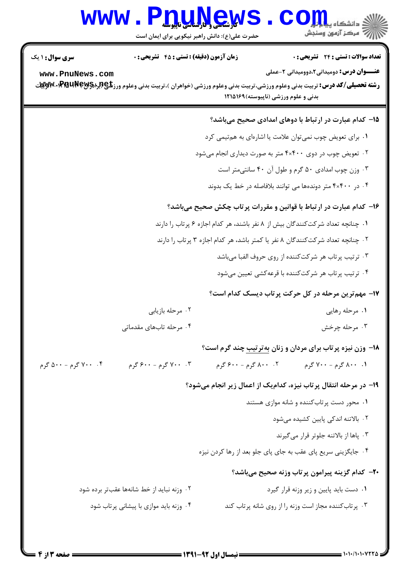## Www.PnuMews.Com

حضرت علی(ع): دانش راهبر نیکویی برای ایمان است

| <b>سری سوال : ۱ یک</b>                                             | <b>زمان آزمون (دقیقه) : تستی : 45 تشریحی : 0</b>                               |                                      | تعداد سوالات : تستي : 24 گشريحي : 0                                                                                                               |  |  |
|--------------------------------------------------------------------|--------------------------------------------------------------------------------|--------------------------------------|---------------------------------------------------------------------------------------------------------------------------------------------------|--|--|
| www.PnuNews.com                                                    |                                                                                |                                      | <b>عنـــوان درس:</b> دومیدانی2،دوومیدانی 2-عملی                                                                                                   |  |  |
|                                                                    |                                                                                |                                      | <b>رشته تحصیلی/کد درس:</b> تربیت بدنی وعلوم ورزشی،تربیت بدنی وعلوم ورزشی (خواهران )،تربیت بدنی وعلوم ورز <b>شگی(لِگِرِ(PMUNE+PMA)،×پِرِیِ</b> یِی |  |  |
|                                                                    |                                                                                | بدنی و علوم ورزشی (ناپیوسته) ۱۲۱۵۱۶۹ |                                                                                                                                                   |  |  |
|                                                                    |                                                                                |                                      | ۱۵– کدام عبارت در ارتباط با دوهای امدادی صحیح میباشد؟                                                                                             |  |  |
|                                                                    |                                                                                |                                      | ۰۱ برای تعویض چوب نمیتوان علامت یا اشارهای به همتیمی کرد                                                                                          |  |  |
| ۰۲ تعویض چوب در دوی ۴۰۴۰۰ متر به صورت دیداری انجام میشود           |                                                                                |                                      |                                                                                                                                                   |  |  |
| ۰۳ وزن چوب امدادی ۵۰ گرم و طول آن ۴۰ سانتیمتر است                  |                                                                                |                                      |                                                                                                                                                   |  |  |
| ۰۴ در ۴۰۰×۴ متر دوندهها می توانند بلافاصله در خط یک بدوند          |                                                                                |                                      |                                                                                                                                                   |  |  |
| ۱۶– کدام عبارت در ارتباط با قوانین و مقررات پرتاب چکش صحیح میباشد؟ |                                                                                |                                      |                                                                                                                                                   |  |  |
|                                                                    | ۰۱ چنانچه تعداد شرکتکنندگان بیش از ۸ نفر باشند، هر کدام اجازه ۶ پرتاب را دارند |                                      |                                                                                                                                                   |  |  |
|                                                                    |                                                                                |                                      | ۰۲ چنانچه تعداد شرکتکنندگان ۸ نفر یا کمتر باشد، هر کدام اجازه ۳ پرتاب را دارند                                                                    |  |  |
|                                                                    |                                                                                |                                      | ۰۳ ترتیب پرتاب هر شرکتکننده از روی حروف الفبا میباشد                                                                                              |  |  |
|                                                                    |                                                                                |                                      | ۰۴ ترتیب پرتاب هر شرکتکننده با قرعهکشی تعیین میشود                                                                                                |  |  |
|                                                                    |                                                                                |                                      | ۱۷- مهم ترین مرحله در کل حرکت پرتاب دیسک کدام است؟                                                                                                |  |  |
|                                                                    | ۰۲ مرحله بازيابي                                                               |                                      | ۰۱ مرحله رهایی                                                                                                                                    |  |  |
|                                                                    | ۰۴ مرحله تابهای مقدماتی                                                        |                                      | ۰۳ مرحله چرخش                                                                                                                                     |  |  |
|                                                                    |                                                                                |                                      | <b>۱۸</b> - وزن نیزه پرتاب برای مردان و زنان بهترتیب چند گرم است؟                                                                                 |  |  |
| ۰۴ . ۷۰۰ گرم - ۵۰۰ گرم                                             | ۰. ۷۰۰ گرم - ۶۰۰ گرم                                                           | ۰۲ ۸۰۰ گرم - ۶۰۰ گرم                 | ۰۱ ۸۰۰ گرم - ۷۰۰ گرم                                                                                                                              |  |  |
|                                                                    |                                                                                |                                      | ۱۹- در مرحله انتقال پرتاب نیزه، کدامیک از اعمال زیر انجام میشود؟                                                                                  |  |  |
|                                                                    |                                                                                |                                      | ۰۱ محور دست پرتاب کننده و شانه موازی هستند                                                                                                        |  |  |
|                                                                    |                                                                                |                                      | ۰۲ بالاتنه اندکی پایین کشیده میشود                                                                                                                |  |  |
|                                                                    |                                                                                |                                      | ۰۳ پاها از بالاتنه جلوتر قرار میگیرند                                                                                                             |  |  |
|                                                                    |                                                                                |                                      | ۰۴ جایگزینی سریع پای عقب به جای پای جلو بعد از رها کردن نیزه                                                                                      |  |  |
|                                                                    |                                                                                |                                      | <b>۳۰</b> - کدام گزینه پیرامون پرتاب وزنه صحیح میباشد؟                                                                                            |  |  |
| ۰۲ وزنه نباید از خط شانهها عقبتر برده شود                          |                                                                                |                                      | ٠١ دست بايد پايين و زير وزنه قرار گيرد                                                                                                            |  |  |
|                                                                    | ۰۴ وزنه باید موازی با پیشانی پرتاب شود                                         |                                      | ۰۳ پرتاب کننده مجاز است وزنه را از روی شانه پرتاب کند                                                                                             |  |  |
|                                                                    |                                                                                |                                      |                                                                                                                                                   |  |  |